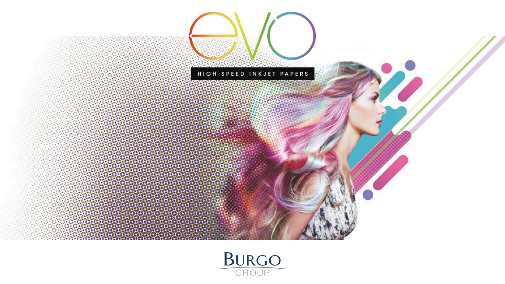

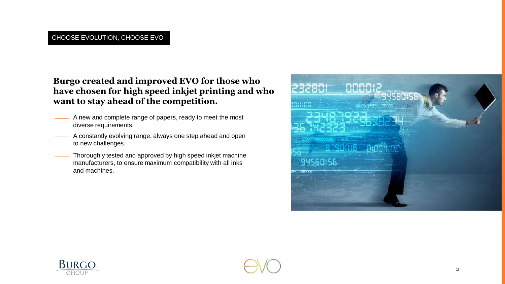**Burgo created and improved EVO for those who have chosen for high speed inkjet printing and who want to stay ahead of the competition.**

- A new and complete range of papers, ready to meet the most diverse requirements.
- A constantly evolving range, always one step ahead and open to new challenges.
- Thoroughly tested and approved by high speed inkjet machine manufacturers, to ensure maximum compatibility with all inks and machines.





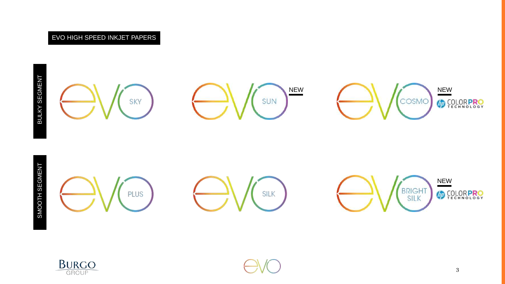





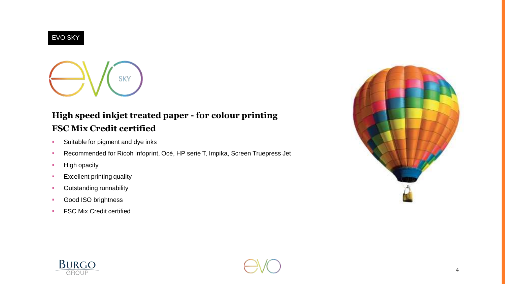#### EVO SKY



### **High speed inkjet treated paper - for colour printing FSC Mix Credit certified**

- **Suitable for pigment and dye inks**
- Recommended for Ricoh Infoprint, Océ, HP serie T, Impika, Screen Truepress Jet
- **High opacity**
- **Excellent printing quality**
- **-** Outstanding runnability
- **Good ISO brightness**
- **FSC Mix Credit certified**





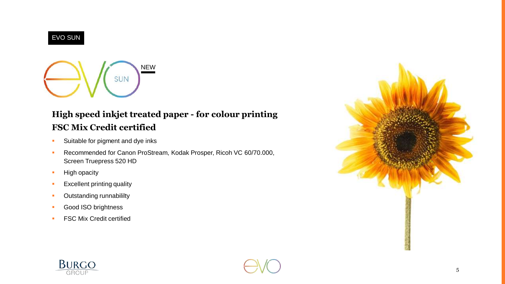



# **High speed inkjet treated paper - for colour printing FSC Mix Credit certified**

- **Suitable for pigment and dye inks**
- **Recommended for Canon ProStream, Kodak Prosper, Ricoh VC 60/70.000,** Screen Truepress 520 HD
- **High opacity**
- **Excellent printing quality**
- **•** Outstanding runnabililty
- **Good ISO brightness**
- **FSC Mix Credit certified**





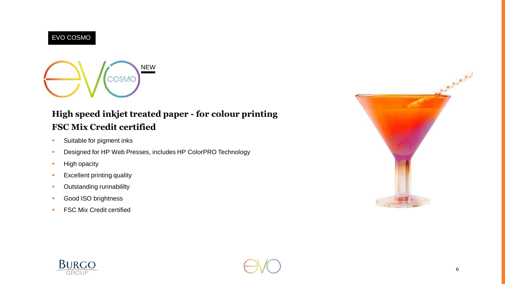### EVO COSMO



# **High speed inkjet treated paper - for colour printing FSC Mix Credit certified**

- **Suitable for pigment inks**
- **Designed for HP Web Presses, includes HP ColorPRO Technology**
- **High opacity**
- **Excellent printing quality**
- **-** Outstanding runnabililty
- **Good ISO brightness**
- **FSC Mix Credit certified**





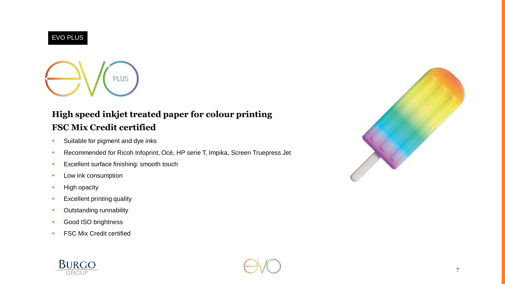#### EVO PLUS



# **High speed inkjet treated paper for colour printing FSC Mix Credit certified**

- **Suitable for pigment and dye inks**
- Recommended for Ricoh Infoprint, Océ, HP serie T, Impika, Screen Truepress Jet
- **Excellent surface finishing: smooth touch**
- **Low ink consumption**
- **High opacity**
- **Excellent printing quality**
- **-** Outstanding runnability
- **Good ISO brightness**
- **FSC Mix Credit certified**





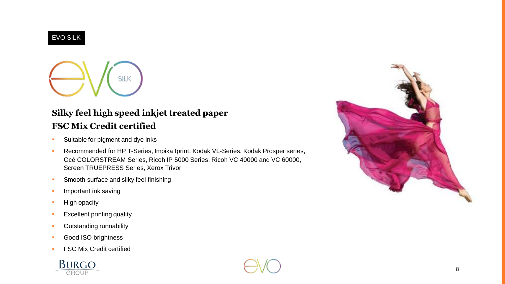### EVO SILK

**SILK** 

## **Silky feel high speed inkjet treated paper FSC Mix Credit certified**

- **Suitable for pigment and dye inks**
- **Recommended for HP T-Series, Impika Iprint, Kodak VL-Series, Kodak Prosper series,** Océ COLORSTREAM Series, Ricoh IP 5000 Series, Ricoh VC 40000 and VC 60000, Screen TRUEPRESS Series, Xerox Trivor
- **Smooth surface and silky feel finishing**
- **Important ink saving**
- **High opacity**
- **Excellent printing quality**
- **-** Outstanding runnability
- **Good ISO brightness**
- **FSC Mix Credit certified**



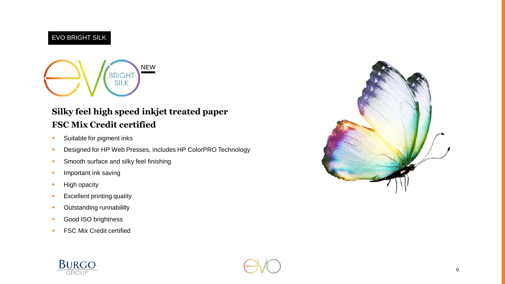### EVO BRIGHT SILK



## **Silky feel high speed inkjet treated paper FSC Mix Credit certified**

- **Suitable for pigment inks**
- **Designed for HP Web Presses, includes HP ColorPRO Technology**
- **Smooth surface and silky feel finishing**
- **Important ink saving**
- **High opacity**
- **Excellent printing quality**
- **•** Outstanding runnabililty
- **Good ISO brightness**
- **FSC Mix Credit certified**





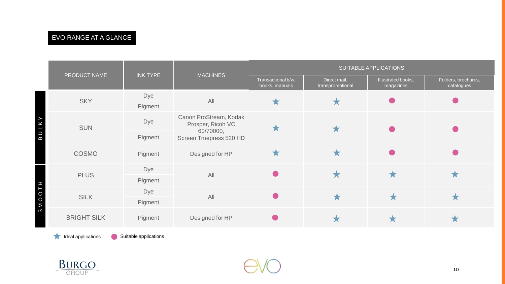### EVO RANGE AT A GLANCE

|             |                    |                 |                                                          | SUITABLE APPLICATIONS                |                                  |                                 |                                   |  |  |
|-------------|--------------------|-----------------|----------------------------------------------------------|--------------------------------------|----------------------------------|---------------------------------|-----------------------------------|--|--|
|             | PRODUCT NAME       | <b>INK TYPE</b> | <b>MACHINES</b>                                          | Transactional b/w,<br>books, manuals | Direct mail,<br>transpromotional | Illustrated books,<br>magazines | Folders, brochures,<br>catalogues |  |  |
| В           | <b>SKY</b>         | Dye             | All                                                      | ★                                    | Х                                |                                 |                                   |  |  |
|             |                    | Pigment         |                                                          |                                      |                                  |                                 |                                   |  |  |
|             | <b>SUN</b>         | Dye             | Canon ProStream, Kodak<br>Prosper, Ricoh VC<br>60/70000, |                                      |                                  |                                 |                                   |  |  |
|             |                    | Pigment         | Screen Truepress 520 HD                                  |                                      |                                  |                                 |                                   |  |  |
|             | COSMO              | Pigment         | Designed for HP                                          | Ж                                    |                                  |                                 |                                   |  |  |
| O<br>⋝<br>ω | <b>PLUS</b>        | Dye             | All                                                      |                                      | ★                                | ★                               |                                   |  |  |
|             |                    | Pigment         |                                                          |                                      |                                  |                                 |                                   |  |  |
|             | <b>SILK</b>        | Dye             | All                                                      |                                      |                                  | ★                               |                                   |  |  |
|             |                    | Pigment         |                                                          |                                      |                                  |                                 |                                   |  |  |
|             | <b>BRIGHT SILK</b> | Pigment         | Designed for HP                                          |                                      |                                  | ★                               |                                   |  |  |

**Ideal applications** Suitable applications



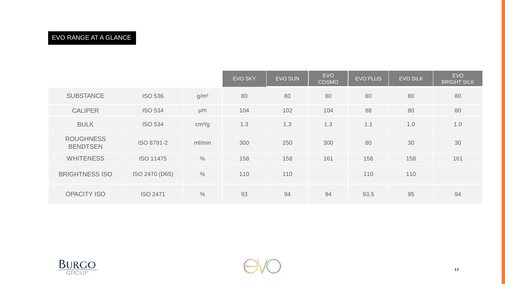### EVO RANGE AT A GLANCE

|                                     |                  |                    | <b>EVO SKY</b> | <b>EVO SUN</b> | <b>EVO</b><br><b>COSMO</b> | <b>EVO PLUS</b> | <b>EVO SILK</b> | <b>EVO</b><br><b>BRIGHT SILK</b> |
|-------------------------------------|------------------|--------------------|----------------|----------------|----------------------------|-----------------|-----------------|----------------------------------|
| <b>SUBSTANCE</b>                    | <b>ISO 536</b>   | g/m <sup>2</sup>   | 80             | 80             | 80                         | 80              | 80              | 80                               |
| <b>CALIPER</b>                      | <b>ISO 534</b>   | µm                 | 104            | 102            | 104                        | 88              | 80              | 80                               |
| <b>BULK</b>                         | <b>ISO 534</b>   | cm <sup>3</sup> /g | 1.3            | 1.3            | 1.3                        | 1.1             | 1.0             | 1.0                              |
| <b>ROUGHNESS</b><br><b>BENDTSEN</b> | ISO 8791-2       | ml/min             | 300            | 250            | 300                        | 80              | 30              | 30                               |
| <b>WHITENESS</b>                    | <b>ISO 11475</b> | $\frac{0}{0}$      | 158            | 158            | 161                        | 158             | 158             | 161                              |
| <b>BRIGHTNESS ISO</b>               | ISO 2470 (D65)   | $\frac{0}{0}$      | 110            | 110            |                            | 110             | 110             |                                  |
| <b>OPACITY ISO</b>                  | <b>ISO 2471</b>  | $\frac{0}{0}$      | 93             | 94             | 94                         | 93.5            | 95              | 94                               |

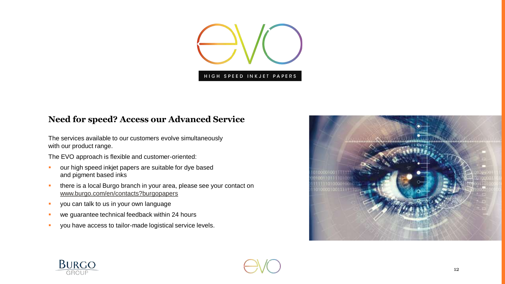

### **Need for speed? Access our Advanced Service**

The services available to our customers evolve simultaneously with our product range.

The EVO approach is flexible and customer-oriented:

- **•** our high speed inkjet papers are suitable for dye based and pigment based inks
- **there is a local Burgo branch in your area, please see your contact on** [www.burgo.com/en/contacts?burgopapers](http://www.burgo.com/en/contacts?burgopapers)
- **v** you can talk to us in your own language
- **we guarantee technical feedback within 24 hours**
- **v** you have access to tailor-made logistical service levels.